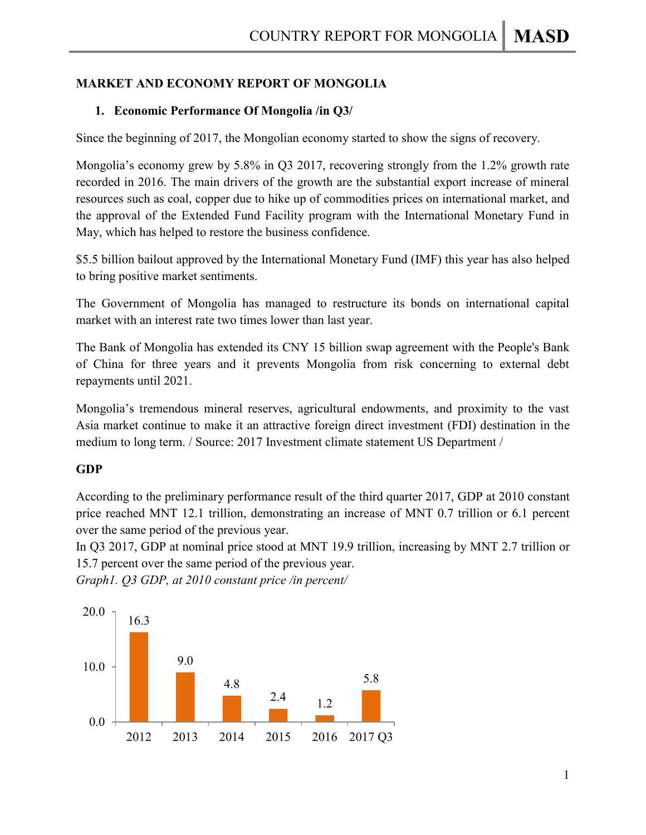# **MARKET AND ECONOMY REPORT OF MONGOLIA**

# **1. Economic Performance Of Mongolia /in Q3/**

Since the beginning of 2017, the Mongolian economy started to show the signs of recovery.

Mongolia's economy grew by 5.8% in Q3 2017, recovering strongly from the 1.2% growth rate recorded in 2016. The main drivers of the growth are the substantial export increase of mineral resources such as coal, copper due to hike up of commodities prices on international market, and the approval of the Extended Fund Facility program with the International Monetary Fund in May, which has helped to restore the business confidence.

\$5.5 billion bailout approved by the International Monetary Fund (IMF) this year has also helped to bring positive market sentiments.

The Government of Mongolia has managed to restructure its bonds on international capital market with an interest rate two times lower than last year.

The Bank of Mongolia has extended its CNY 15 billion swap agreement with the People's Bank of China for three years and it prevents Mongolia from risk concerning to external debt repayments until 2021.

Mongolia's tremendous mineral reserves, agricultural endowments, and proximity to the vast Asia market continue to make it an attractive foreign direct investment (FDI) destination in the medium to long term. / Source: 2017 Investment climate statement US Department /

## **GDP**

According to the preliminary performance result of the third quarter 2017, GDP at 2010 constant price reached MNT 12.1 trillion, demonstrating an increase of MNT 0.7 trillion or 6.1 percent over the same period of the previous year.

In Q3 2017, GDP at nominal price stood at MNT 19.9 trillion, increasing by MNT 2.7 trillion or 15.7 percent over the same period of the previous year.

*Graph1. Q3 GDP, at 2010 constant price /in percent/*

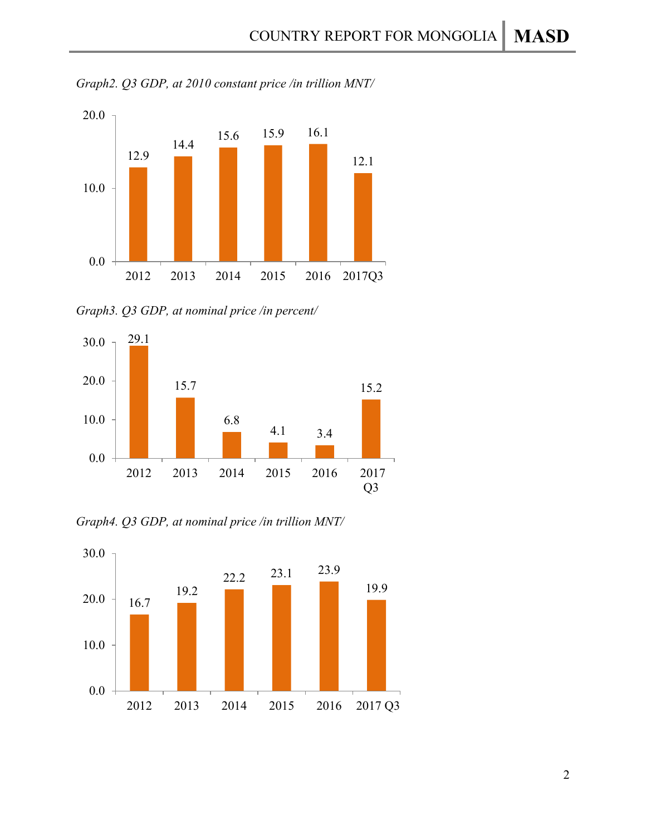



*Graph3. Q3 GDP, at nominal price /in percent/*



*Graph4. Q3 GDP, at nominal price /in trillion MNT/*

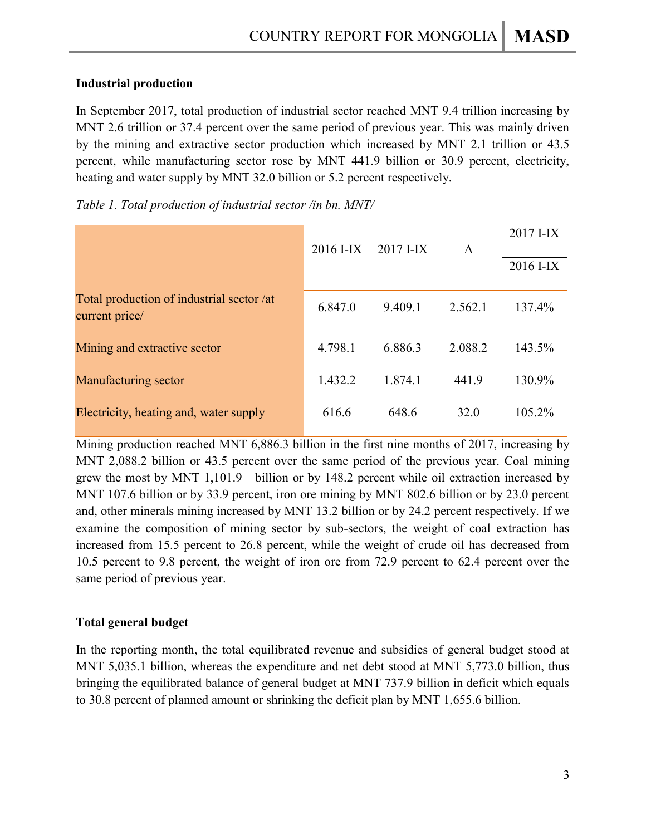### **Industrial production**

In September 2017, total production of industrial sector reached MNT 9.4 trillion increasing by MNT 2.6 trillion or 37.4 percent over the same period of previous year. This was mainly driven by the mining and extractive sector production which increased by MNT 2.1 trillion or 43.5 percent, while manufacturing sector rose by MNT 441.9 billion or 30.9 percent, electricity, heating and water supply by MNT 32.0 billion or 5.2 percent respectively.

|                                                             | 2016 I-IX | $2017$ I-IX | Δ       | 2017 I-IX<br>2016 I-IX |
|-------------------------------------------------------------|-----------|-------------|---------|------------------------|
| Total production of industrial sector /at<br>current price/ | 6.847.0   | 9.409.1     | 2.562.1 | 137.4%                 |
| Mining and extractive sector                                | 4.798.1   | 6.886.3     | 2.088.2 | 143.5%                 |
| Manufacturing sector                                        | 1.432.2   | 1.874.1     | 441.9   | 130.9%                 |
| Electricity, heating and, water supply                      | 616.6     | 648.6       | 32.0    | 105.2%                 |

*Table 1. Total production of industrial sector /in bn. MNT/*

Mining production reached MNT 6,886.3 billion in the first nine months of 2017, increasing by MNT 2,088.2 billion or 43.5 percent over the same period of the previous year. Coal mining grew the most by MNT 1,101.9 billion or by 148.2 percent while oil extraction increased by MNT 107.6 billion or by 33.9 percent, iron ore mining by MNT 802.6 billion or by 23.0 percent and, other minerals mining increased by MNT 13.2 billion or by 24.2 percent respectively. If we examine the composition of mining sector by sub-sectors, the weight of coal extraction has increased from 15.5 percent to 26.8 percent, while the weight of crude oil has decreased from 10.5 percent to 9.8 percent, the weight of iron ore from 72.9 percent to 62.4 percent over the same period of previous year.

## **Total general budget**

In the reporting month, the total equilibrated revenue and subsidies of general budget stood at MNT 5,035.1 billion, whereas the expenditure and net debt stood at MNT 5,773.0 billion, thus bringing the equilibrated balance of general budget at MNT 737.9 billion in deficit which equals to 30.8 percent of planned amount or shrinking the deficit plan by MNT 1,655.6 billion.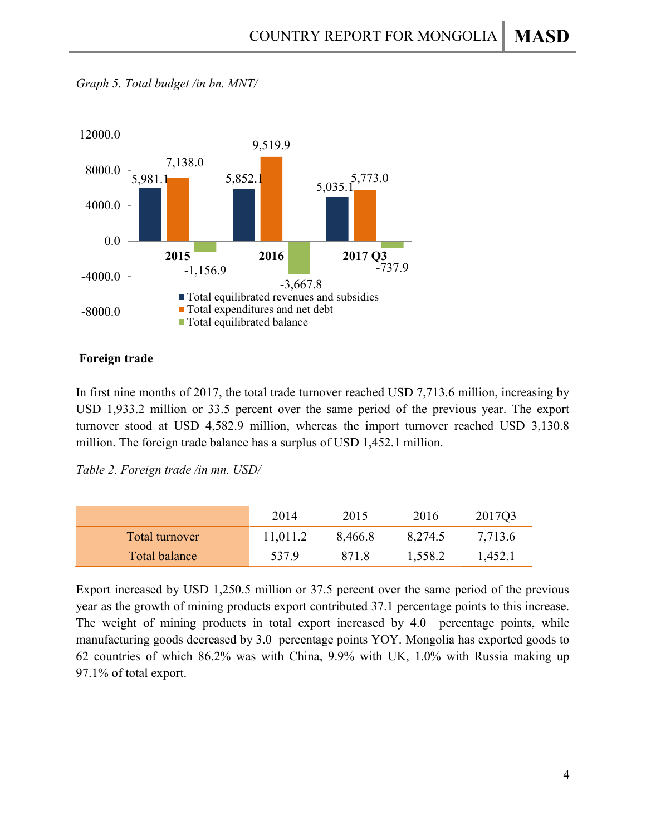

*Graph 5. Total budget /in bn. MNT/*

#### **Foreign trade**

In first nine months of 2017, the total trade turnover reached USD 7,713.6 million, increasing by USD 1,933.2 million or 33.5 percent over the same period of the previous year. The export turnover stood at USD 4,582.9 million, whereas the import turnover reached USD 3,130.8 million. The foreign trade balance has a surplus of USD 1,452.1 million.

*Table 2. Foreign trade /in mn. USD/*

|                | 2014     | 2015    | 2016    | 2017Q3  |
|----------------|----------|---------|---------|---------|
| Total turnover | 11,011.2 | 8,466.8 | 8,274.5 | 7,713.6 |
| Total balance  | 537.9    | 871.8   | 1,558.2 | 1,452.1 |

Export increased by USD 1,250.5 million or 37.5 percent over the same period of the previous year as the growth of mining products export contributed 37.1 percentage points to this increase. The weight of mining products in total export increased by 4.0 percentage points, while manufacturing goods decreased by 3.0 percentage points YOY. Mongolia has exported goods to 62 countries of which 86.2% was with China, 9.9% with UK, 1.0% with Russia making up 97.1% of total export.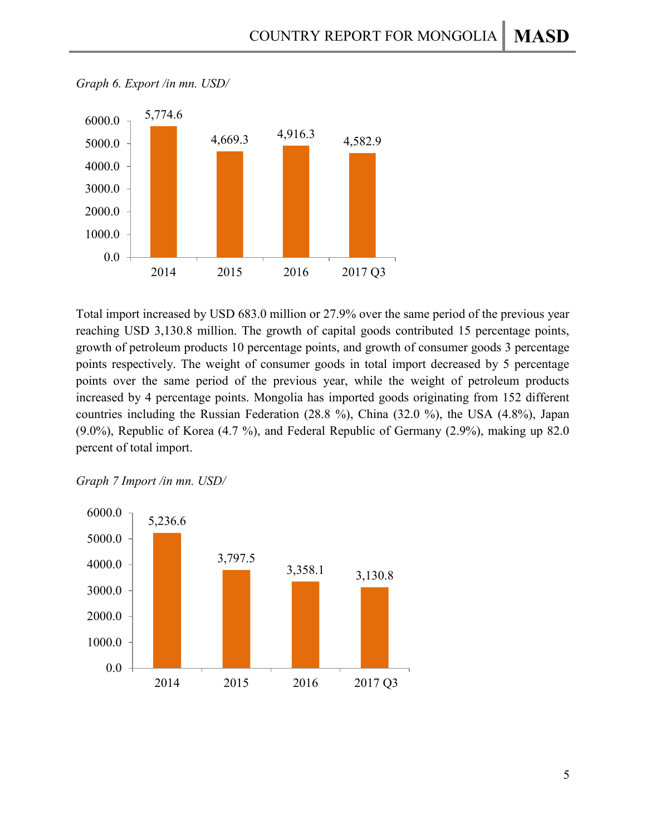

*Graph 6. Export /in mn. USD/*

Total import increased by USD 683.0 million or 27.9% over the same period of the previous year reaching USD 3,130.8 million. The growth of capital goods contributed 15 percentage points, growth of petroleum products 10 percentage points, and growth of consumer goods 3 percentage points respectively. The weight of consumer goods in total import decreased by 5 percentage points over the same period of the previous year, while the weight of petroleum products increased by 4 percentage points. Mongolia has imported goods originating from 152 different countries including the Russian Federation (28.8 %), China (32.0 %), the USA (4.8%), Japan (9.0%), Republic of Korea (4.7 %), and Federal Republic of Germany (2.9%), making up 82.0 percent of total import.



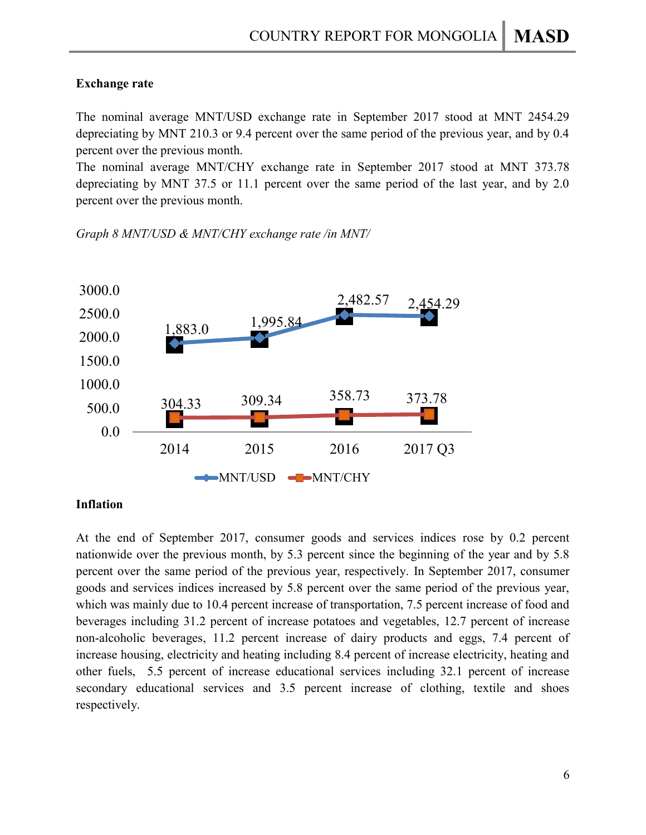### **Exchange rate**

The nominal average MNT/USD exchange rate in September 2017 stood at MNT 2454.29 depreciating by MNT 210.3 or 9.4 percent over the same period of the previous year, and by 0.4 percent over the previous month.

The nominal average MNT/CHY exchange rate in September 2017 stood at MNT 373.78 depreciating by MNT 37.5 or 11.1 percent over the same period of the last year, and by 2.0 percent over the previous month.

*Graph 8 MNT/USD & MNT/CHY exchange rate /in MNT/*



### **Inflation**

At the end of September 2017, consumer goods and services indices rose by 0.2 percent nationwide over the previous month, by 5.3 percent since the beginning of the year and by 5.8 percent over the same period of the previous year, respectively. In September 2017, consumer goods and services indices increased by 5.8 percent over the same period of the previous year, which was mainly due to 10.4 percent increase of transportation, 7.5 percent increase of food and beverages including 31.2 percent of increase potatoes and vegetables, 12.7 percent of increase non-alcoholic beverages, 11.2 percent increase of dairy products and eggs, 7.4 percent of increase housing, electricity and heating including 8.4 percent of increase electricity, heating and other fuels, 5.5 percent of increase educational services including 32.1 percent of increase secondary educational services and 3.5 percent increase of clothing, textile and shoes respectively.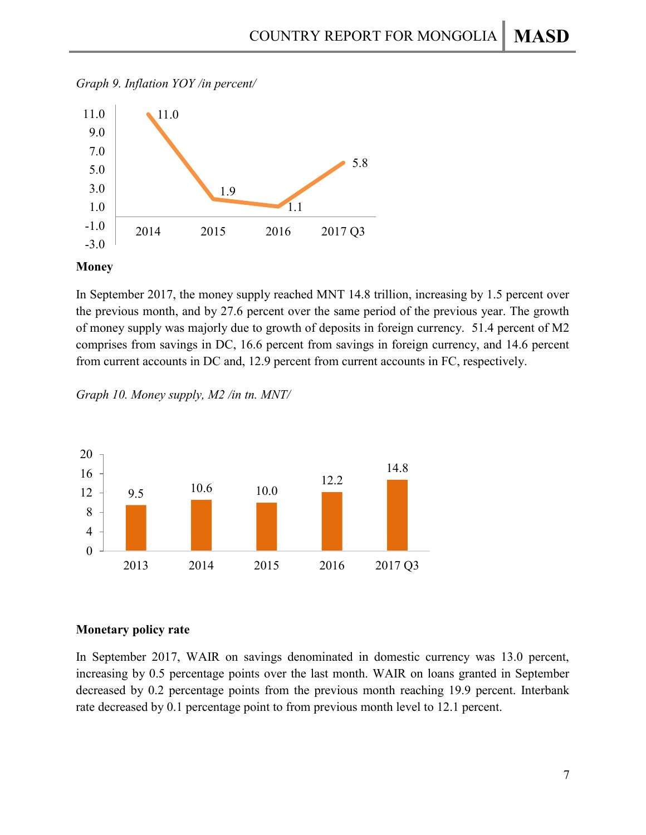



#### **Money**

In September 2017, the money supply reached MNT 14.8 trillion, increasing by 1.5 percent over the previous month, and by 27.6 percent over the same period of the previous year. The growth of money supply was majorly due to growth of deposits in foreign currency. 51.4 percent of M2 comprises from savings in DC, 16.6 percent from savings in foreign currency, and 14.6 percent from current accounts in DC and, 12.9 percent from current accounts in FC, respectively.

*Graph 10. Money supply, M2 /in tn. MNT/*



### **Monetary policy rate**

In September 2017, WAIR on savings denominated in domestic currency was 13.0 percent, increasing by 0.5 percentage points over the last month. WAIR on loans granted in September decreased by 0.2 percentage points from the previous month reaching 19.9 percent. Interbank rate decreased by 0.1 percentage point to from previous month level to 12.1 percent.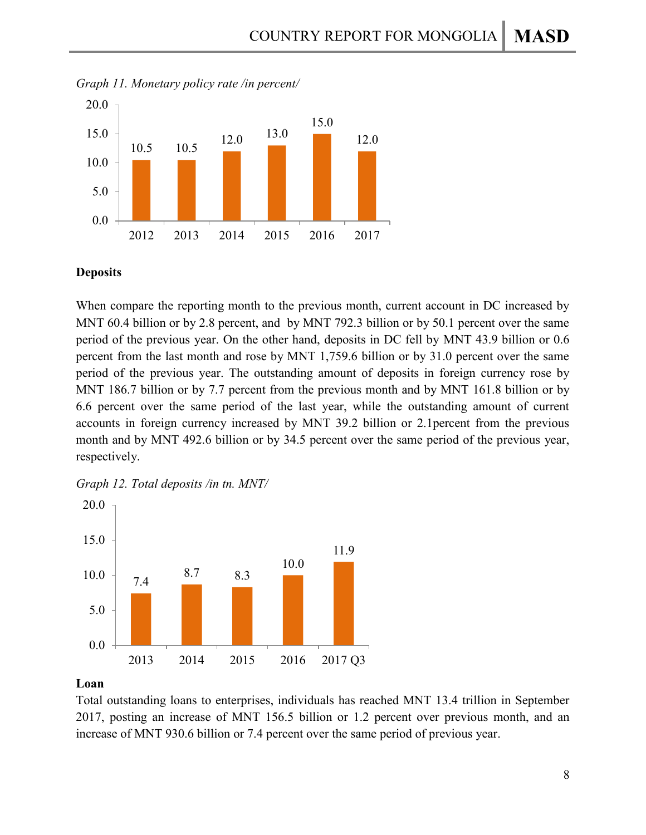



### **Deposits**

When compare the reporting month to the previous month, current account in DC increased by MNT 60.4 billion or by 2.8 percent, and by MNT 792.3 billion or by 50.1 percent over the same period of the previous year. On the other hand, deposits in DC fell by MNT 43.9 billion or 0.6 percent from the last month and rose by MNT 1,759.6 billion or by 31.0 percent over the same period of the previous year. The outstanding amount of deposits in foreign currency rose by MNT 186.7 billion or by 7.7 percent from the previous month and by MNT 161.8 billion or by 6.6 percent over the same period of the last year, while the outstanding amount of current accounts in foreign currency increased by MNT 39.2 billion or 2.1percent from the previous month and by MNT 492.6 billion or by 34.5 percent over the same period of the previous year, respectively.

*Graph 12. Total deposits /in tn. MNT/*



### **Loan**

Total outstanding loans to enterprises, individuals has reached MNT 13.4 trillion in September 2017, posting an increase of MNT 156.5 billion or 1.2 percent over previous month, and an increase of MNT 930.6 billion or 7.4 percent over the same period of previous year.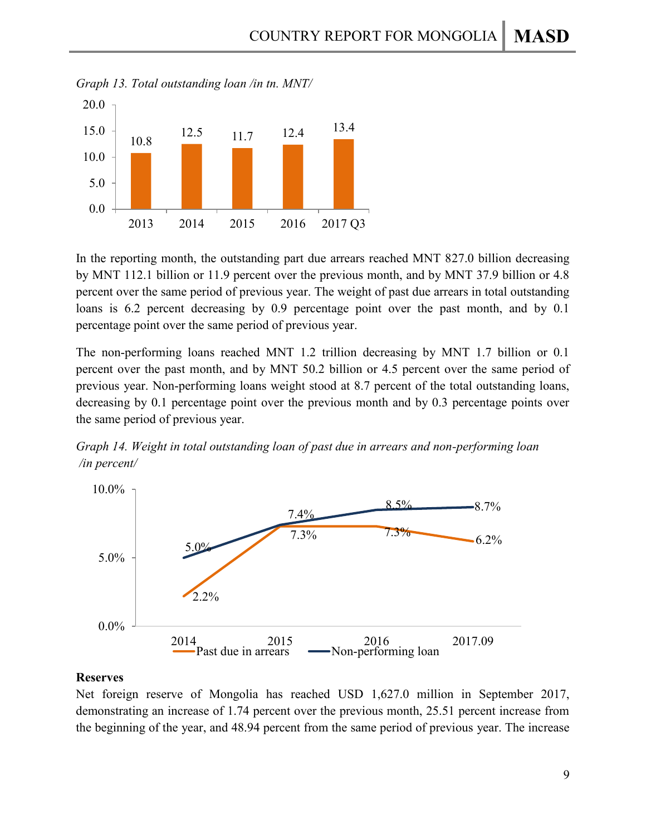

*Graph 13. Total outstanding loan /in tn. MNT/*

In the reporting month, the outstanding part due arrears reached MNT 827.0 billion decreasing by MNT 112.1 billion or 11.9 percent over the previous month, and by MNT 37.9 billion or 4.8 percent over the same period of previous year. The weight of past due arrears in total outstanding loans is 6.2 percent decreasing by 0.9 percentage point over the past month, and by 0.1 percentage point over the same period of previous year.

The non-performing loans reached MNT 1.2 trillion decreasing by MNT 1.7 billion or 0.1 percent over the past month, and by MNT 50.2 billion or 4.5 percent over the same period of previous year. Non-performing loans weight stood at 8.7 percent of the total outstanding loans, decreasing by 0.1 percentage point over the previous month and by 0.3 percentage points over the same period of previous year.





#### **Reserves**

Net foreign reserve of Mongolia has reached USD 1,627.0 million in September 2017, demonstrating an increase of 1.74 percent over the previous month, 25.51 percent increase from the beginning of the year, and 48.94 percent from the same period of previous year. The increase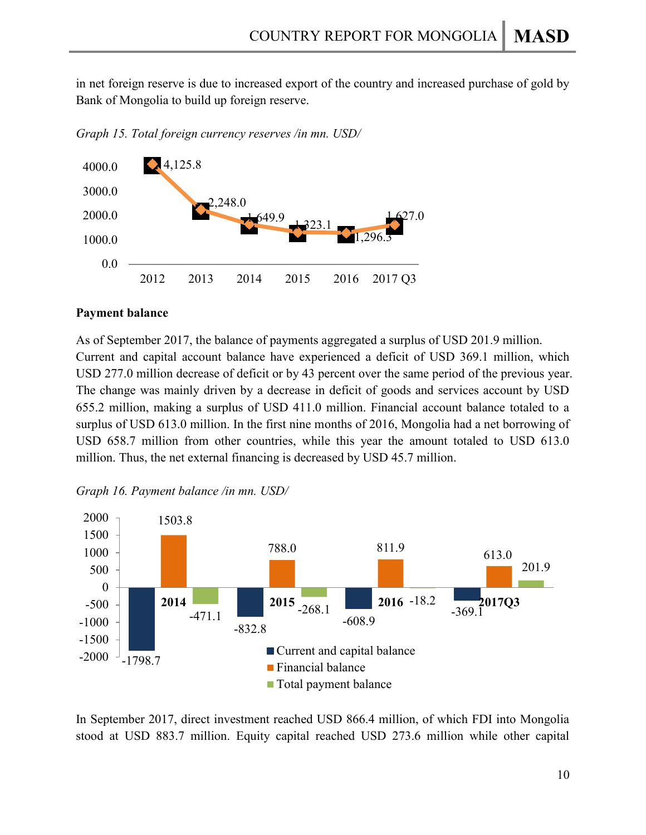in net foreign reserve is due to increased export of the country and increased purchase of gold by Bank of Mongolia to build up foreign reserve.

*Graph 15. Total foreign currency reserves /in mn. USD/*



### **Payment balance**

As of September 2017, the balance of payments aggregated a surplus of USD 201.9 million. Current and capital account balance have experienced a deficit of USD 369.1 million, which USD 277.0 million decrease of deficit or by 43 percent over the same period of the previous year. The change was mainly driven by a decrease in deficit of goods and services account by USD 655.2 million, making a surplus of USD 411.0 million. Financial account balance totaled to a surplus of USD 613.0 million. In the first nine months of 2016, Mongolia had a net borrowing of USD 658.7 million from other countries, while this year the amount totaled to USD 613.0 million. Thus, the net external financing is decreased by USD 45.7 million.

*Graph 16. Payment balance /in mn. USD/*



In September 2017, direct investment reached USD 866.4 million, of which FDI into Mongolia stood at USD 883.7 million. Equity capital reached USD 273.6 million while other capital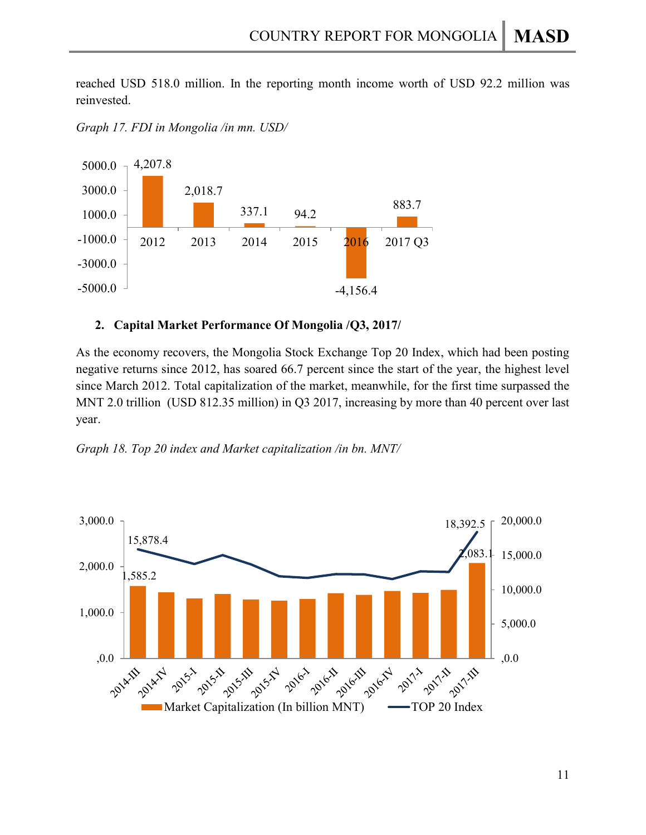reached USD 518.0 million. In the reporting month income worth of USD 92.2 million was reinvested.

*Graph 17. FDI in Mongolia /in mn. USD/*



### **2. Capital Market Performance Of Mongolia /Q3, 2017/**

As the economy recovers, the Mongolia Stock Exchange Top 20 Index, which had been posting negative returns since 2012, has soared 66.7 percent since the start of the year, the highest level since March 2012. Total capitalization of the market, meanwhile, for the first time surpassed the MNT 2.0 trillion (USD 812.35 million) in Q3 2017, increasing by more than 40 percent over last year.



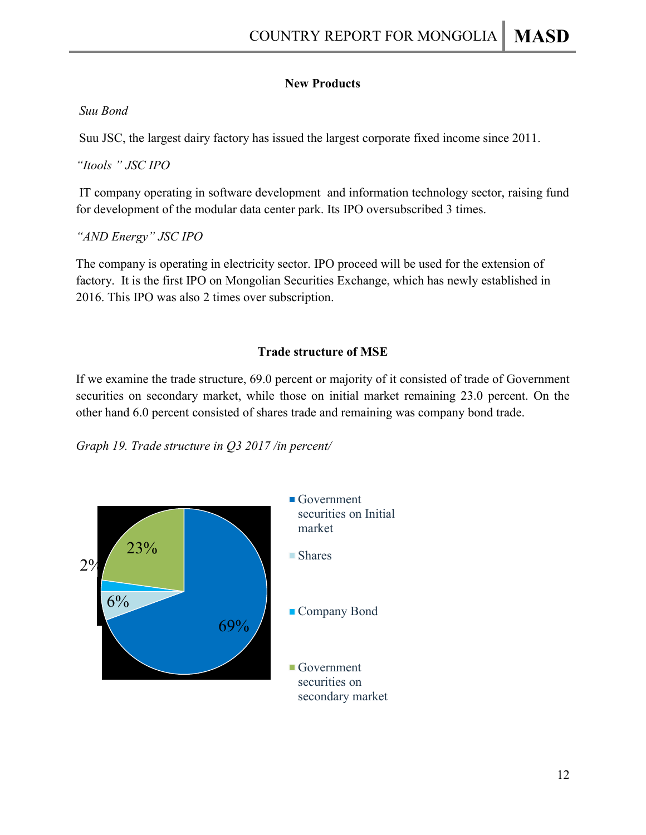### **New Products**

### *Suu Bond*

Suu JSC, the largest dairy factory has issued the largest corporate fixed income since 2011.

*"Itools " JSC IPO*

IT company operating in software development and information technology sector, raising fund for development of the modular data center park. Its IPO oversubscribed 3 times.

*"AND Energy" JSC IPO*

The company is operating in electricity sector. IPO proceed will be used for the extension of factory. It is the first IPO on Mongolian Securities Exchange, which has newly established in 2016. This IPO was also 2 times over subscription.

## **Trade structure of MSE**

If we examine the trade structure, 69.0 percent or majority of it consisted of trade of Government securities on secondary market, while those on initial market remaining 23.0 percent. On the other hand 6.0 percent consisted of shares trade and remaining was company bond trade.

*Graph 19. Trade structure in Q3 2017 /in percent/*

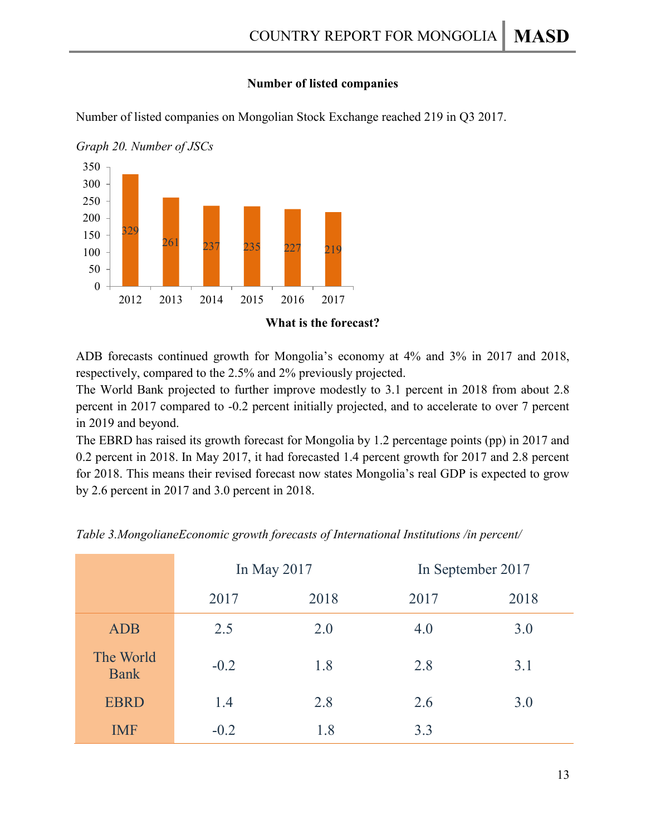### **Number of listed companies**

Number of listed companies on Mongolian Stock Exchange reached 219 in Q3 2017.



*Graph 20. Number of JSCs*

ADB forecasts continued growth for Mongolia's economy at 4% and 3% in 2017 and 2018, respectively, compared to the 2.5% and 2% previously projected.

The World Bank projected to further improve modestly to 3.1 percent in 2018 from about 2.8 percent in 2017 compared to -0.2 percent initially projected, and to accelerate to over 7 percent in 2019 and beyond.

The EBRD has raised its growth forecast for Mongolia by 1.2 percentage points (pp) in 2017 and 0.2 percent in 2018. In May 2017, it had forecasted 1.4 percent growth for 2017 and 2.8 percent for 2018. This means their revised forecast now states Mongolia's real GDP is expected to grow by 2.6 percent in 2017 and 3.0 percent in 2018.

|                          | In May 2017 |      | In September 2017 |      |  |
|--------------------------|-------------|------|-------------------|------|--|
|                          | 2017        | 2018 | 2017              | 2018 |  |
| <b>ADB</b>               | 2.5         | 2.0  | 4.0               | 3.0  |  |
| The World<br><b>Bank</b> | $-0.2$      | 1.8  | 2.8               | 3.1  |  |
| <b>EBRD</b>              | 1.4         | 2.8  | 2.6               | 3.0  |  |
| <b>IMF</b>               | $-0.2$      | 1.8  | 3.3               |      |  |

*Table 3.MongolianeEconomic growth forecasts of International Institutions /in percent/*